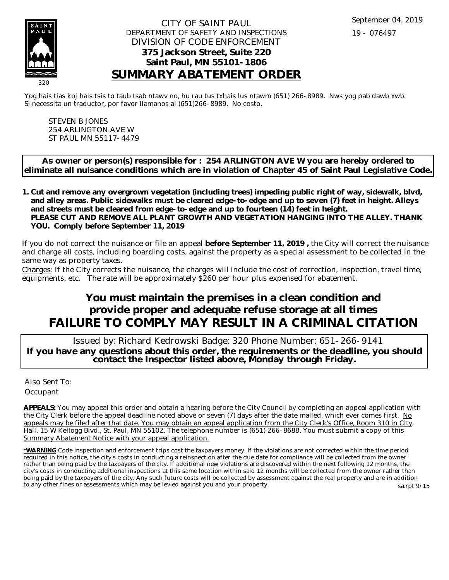

## CITY OF SAINT PAUL DEPARTMENT OF SAFETY AND INSPECTIONS DIVISION OF CODE ENFORCEMENT **375 Jackson Street, Suite 220 Saint Paul, MN 55101-1806 SUMMARY ABATEMENT ORDER**

Yog hais tias koj hais tsis to taub tsab ntawv no, hu rau tus txhais lus ntawm (651) 266-8989. Nws yog pab dawb xwb. Si necessita un traductor, por favor llamanos al (651)266-8989. No costo.

STEVEN B JONES 254 ARLINGTON AVE W ST PAUL MN 55117-4479

**As owner or person(s) responsible for : 254 ARLINGTON AVE W you are hereby ordered to eliminate all nuisance conditions which are in violation of Chapter 45 of Saint Paul Legislative Code.**

**Cut and remove any overgrown vegetation (including trees) impeding public right of way, sidewalk, blvd, 1. and alley areas. Public sidewalks must be cleared edge-to-edge and up to seven (7) feet in height. Alleys and streets must be cleared from edge-to-edge and up to fourteen (14) feet in height. PLEASE CUT AND REMOVE ALL PLANT GROWTH AND VEGETATION HANGING INTO THE ALLEY. THANK YOU. Comply before September 11, 2019**

If you do not correct the nuisance or file an appeal **before September 11, 2019 ,** the City will correct the nuisance and charge all costs, including boarding costs, against the property as a special assessment to be collected in the same way as property taxes.

Charges: If the City corrects the nuisance, the charges will include the cost of correction, inspection, travel time, equipments, etc. The rate will be approximately \$260 per hour plus expensed for abatement.

## **You must maintain the premises in a clean condition and provide proper and adequate refuse storage at all times FAILURE TO COMPLY MAY RESULT IN A CRIMINAL CITATION**

 Issued by: Richard Kedrowski Badge: 320 Phone Number: 651-266-9141 **If you have any questions about this order, the requirements or the deadline, you should contact the Inspector listed above, Monday through Friday.**

Also Sent To: **Occupant** 

**APPEALS:** You may appeal this order and obtain a hearing before the City Council by completing an appeal application with the City Clerk before the appeal deadline noted above or seven (7) days after the date mailed, which ever comes first. No appeals may be filed after that date. You may obtain an appeal application from the City Clerk's Office, Room 310 in City Hall, 15 W Kellogg Blvd., St. Paul, MN 55102. The telephone number is (651) 266-8688. You must submit a copy of this Summary Abatement Notice with your appeal application.

**\*WARNING** Code inspection and enforcement trips cost the taxpayers money. If the violations are not corrected within the time period required in this notice, the city's costs in conducting a reinspection after the due date for compliance will be collected from the owner rather than being paid by the taxpayers of the city. If additional new violations are discovered within the next following 12 months, the city's costs in conducting additional inspections at this same location within said 12 months will be collected from the owner rather than being paid by the taxpayers of the city. Any such future costs will be collected by assessment against the real property and are in addition to any other fines or assessments which may be levied against you and your property. sa.rpt 9/15